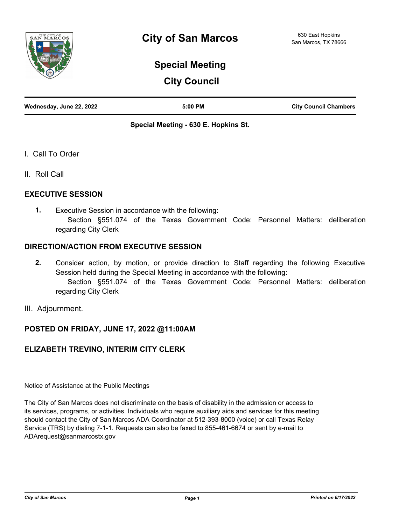

# **Special Meeting**

# **City Council**

|  | Wednesday, June 22, 2022 | $5:00$ PM | <b>City Council Chambers</b> |
|--|--------------------------|-----------|------------------------------|
|--|--------------------------|-----------|------------------------------|

# **Special Meeting - 630 E. Hopkins St.**

- I. Call To Order
- II. Roll Call

# **EXECUTIVE SESSION**

Executive Session in accordance with the following: Section §551.074 of the Texas Government Code: Personnel Matters: deliberation regarding City Clerk **1.**

# **DIRECTION/ACTION FROM EXECUTIVE SESSION**

- Consider action, by motion, or provide direction to Staff regarding the following Executive Session held during the Special Meeting in accordance with the following: Section §551.074 of the Texas Government Code: Personnel Matters: deliberation regarding City Clerk **2.**
- III. Adjournment.

# **POSTED ON FRIDAY, JUNE 17, 2022 @11:00AM**

# **ELIZABETH TREVINO, INTERIM CITY CLERK**

Notice of Assistance at the Public Meetings

The City of San Marcos does not discriminate on the basis of disability in the admission or access to its services, programs, or activities. Individuals who require auxiliary aids and services for this meeting should contact the City of San Marcos ADA Coordinator at 512-393-8000 (voice) or call Texas Relay Service (TRS) by dialing 7-1-1. Requests can also be faxed to 855-461-6674 or sent by e-mail to ADArequest@sanmarcostx.gov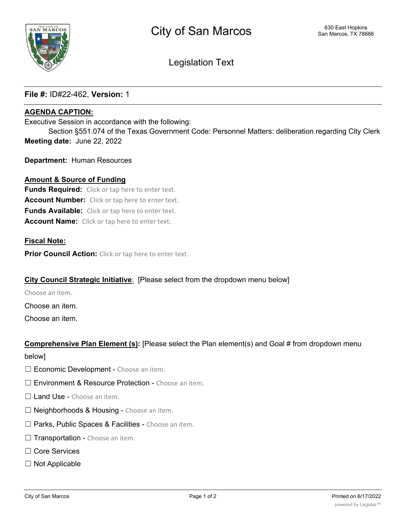

Legislation Text

# **File #:** ID#22-462, **Version:** 1

## **AGENDA CAPTION:**

Executive Session in accordance with the following:

Section §551.074 of the Texas Government Code: Personnel Matters: deliberation regarding City Clerk **Meeting date:** June 22, 2022

**Department:** Human Resources

#### **Amount & Source of Funding**

**Funds Required:** Click or tap here to enter text. **Account Number:** Click or tap here to enter text. **Funds Available:** Click or tap here to enter text. **Account Name:** Click or tap here to enter text.

#### **Fiscal Note:**

**Prior Council Action:** Click or tap here to enter text.

#### **City Council Strategic Initiative**: [Please select from the dropdown menu below]

Choose an item.

Choose an item.

Choose an item.

# **Comprehensive Plan Element (s):** [Please select the Plan element(s) and Goal # from dropdown menu

below]

- □ Economic Development Choose an item.
- □ Environment & Resource Protection Choose an item.
- □ Land Use Choose an item.
- $\Box$  Neighborhoods & Housing Choose an item.
- □ Parks, Public Spaces & Facilities Choose an item.
- $\Box$  Transportation Choose an item.
- ☐ Core Services
- ☐ Not Applicable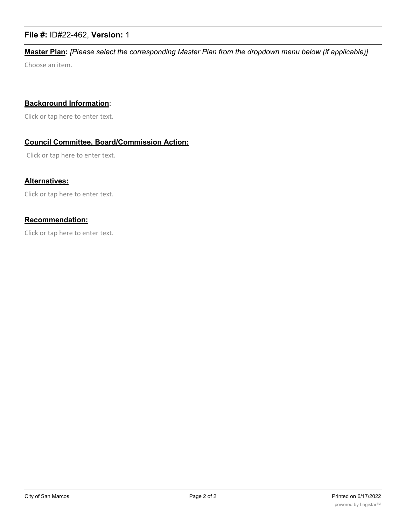# **File #:** ID#22-462, **Version:** 1

# **Master Plan:** *[Please select the corresponding Master Plan from the dropdown menu below (if applicable)]*

Choose an item.

### **Background Information**:

Click or tap here to enter text.

# **Council Committee, Board/Commission Action:**

Click or tap here to enter text.

### **Alternatives:**

Click or tap here to enter text.

#### **Recommendation:**

Click or tap here to enter text.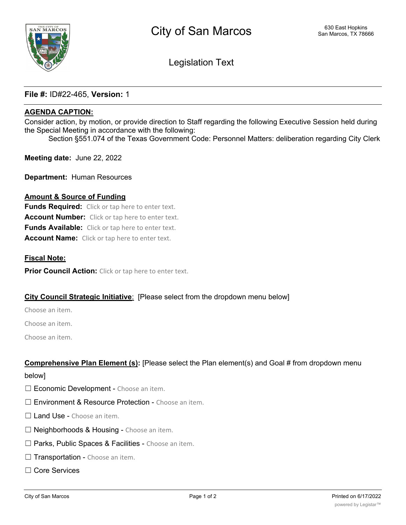Legislation Text

# File #: ID#22-465, Version: 1

# AGENDA CAPTION:

Consider action, by motion, or provide direction to Staff regarding the following Executive Session held during the Special Meeting in accordance with the following:

Section §551.074 of the Texas Government Code: Personnel Matters: deliberation regarding City Clerk

Meeting date: June 22, 2022

Department: Human Resources

#### Amount & Source of Funding

**Funds Required:** Click or tap here to enter text. Account Number: Click or tap here to enter text. Funds Available: Click or tap here to enter text. Account Name: Click or tap here to enter text.

#### Fiscal Note:

**Prior Council Action:** Click or tap here to enter text.

# City Council Strategic Initiative: [Please select from the dropdown menu below]

Choose an item.

Choose an item.

Choose an item.

#### Comprehensive Plan Element (s): [Please select the Plan element(s) and Goal # from dropdown menu

#### below]

- □ Economic Development Choose an item.
- □ Environment & Resource Protection Choose an item.
- □ Land Use Choose an item.
- $\Box$  Neighborhoods & Housing Choose an item.
- □ Parks, Public Spaces & Facilities Choose an item.
- $\Box$  Transportation Choose an item.
- ☐ Core Services